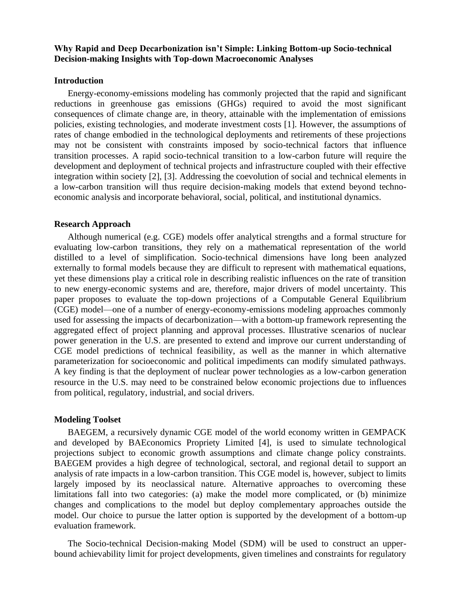# **Why Rapid and Deep Decarbonization isn't Simple: Linking Bottom-up Socio-technical Decision-making Insights with Top-down Macroeconomic Analyses**

### **Introduction**

Energy-economy-emissions modeling has commonly projected that the rapid and significant reductions in greenhouse gas emissions (GHGs) required to avoid the most significant consequences of climate change are, in theory, attainable with the implementation of emissions policies, existing technologies, and moderate investment costs [1]. However, the assumptions of rates of change embodied in the technological deployments and retirements of these projections may not be consistent with constraints imposed by socio-technical factors that influence transition processes. A rapid socio-technical transition to a low-carbon future will require the development and deployment of technical projects and infrastructure coupled with their effective integration within society [2], [3]. Addressing the coevolution of social and technical elements in a low-carbon transition will thus require decision-making models that extend beyond technoeconomic analysis and incorporate behavioral, social, political, and institutional dynamics.

## **Research Approach**

Although numerical (e.g. CGE) models offer analytical strengths and a formal structure for evaluating low-carbon transitions, they rely on a mathematical representation of the world distilled to a level of simplification. Socio-technical dimensions have long been analyzed externally to formal models because they are difficult to represent with mathematical equations, yet these dimensions play a critical role in describing realistic influences on the rate of transition to new energy-economic systems and are, therefore, major drivers of model uncertainty. This paper proposes to evaluate the top-down projections of a Computable General Equilibrium (CGE) model—one of a number of energy-economy-emissions modeling approaches commonly used for assessing the impacts of decarbonization—with a bottom-up framework representing the aggregated effect of project planning and approval processes. Illustrative scenarios of nuclear power generation in the U.S. are presented to extend and improve our current understanding of CGE model predictions of technical feasibility, as well as the manner in which alternative parameterization for socioeconomic and political impediments can modify simulated pathways. A key finding is that the deployment of nuclear power technologies as a low-carbon generation resource in the U.S. may need to be constrained below economic projections due to influences from political, regulatory, industrial, and social drivers.

### **Modeling Toolset**

BAEGEM, a recursively dynamic CGE model of the world economy written in GEMPACK and developed by BAEconomics Propriety Limited [4], is used to simulate technological projections subject to economic growth assumptions and climate change policy constraints. BAEGEM provides a high degree of technological, sectoral, and regional detail to support an analysis of rate impacts in a low-carbon transition. This CGE model is, however, subject to limits largely imposed by its neoclassical nature. Alternative approaches to overcoming these limitations fall into two categories: (a) make the model more complicated, or (b) minimize changes and complications to the model but deploy complementary approaches outside the model. Our choice to pursue the latter option is supported by the development of a bottom-up evaluation framework.

The Socio-technical Decision-making Model (SDM) will be used to construct an upperbound achievability limit for project developments, given timelines and constraints for regulatory